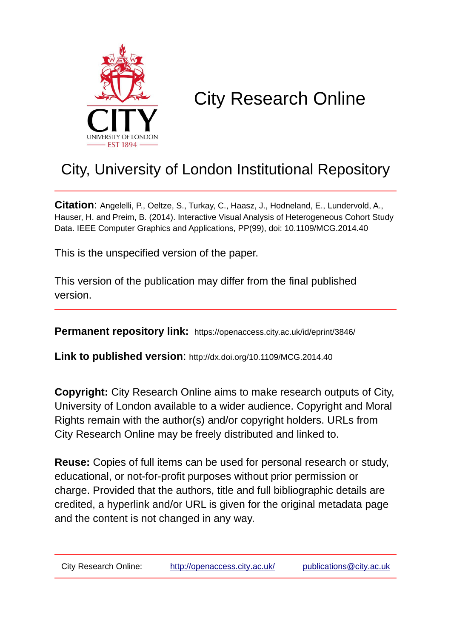

# City Research Online

## City, University of London Institutional Repository

**Citation**: Angelelli, P., Oeltze, S., Turkay, C., Haasz, J., Hodneland, E., Lundervold, A., Hauser, H. and Preim, B. (2014). Interactive Visual Analysis of Heterogeneous Cohort Study Data. IEEE Computer Graphics and Applications, PP(99), doi: 10.1109/MCG.2014.40

This is the unspecified version of the paper.

This version of the publication may differ from the final published version.

**Permanent repository link:** https://openaccess.city.ac.uk/id/eprint/3846/

**Link to published version**: http://dx.doi.org/10.1109/MCG.2014.40

**Copyright:** City Research Online aims to make research outputs of City, University of London available to a wider audience. Copyright and Moral Rights remain with the author(s) and/or copyright holders. URLs from City Research Online may be freely distributed and linked to.

**Reuse:** Copies of full items can be used for personal research or study, educational, or not-for-profit purposes without prior permission or charge. Provided that the authors, title and full bibliographic details are credited, a hyperlink and/or URL is given for the original metadata page and the content is not changed in any way.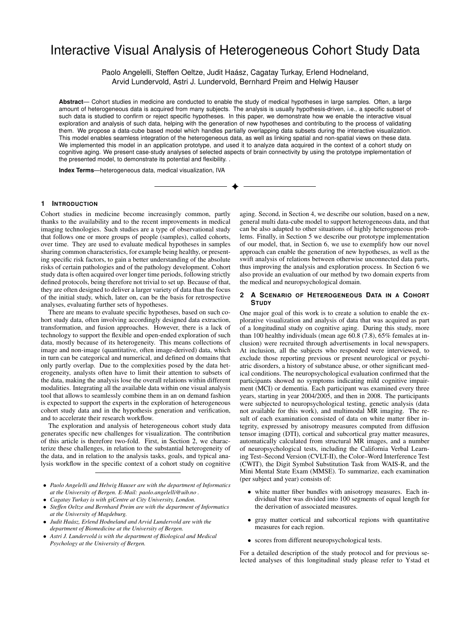### Interactive Visual Analysis of Heterogeneous Cohort Study Data

Paolo Angelelli, Steffen Oeltze, Judit Haász, Cagatay Turkay, Erlend Hodneland, Arvid Lundervold, Astri J. Lundervold, Bernhard Preim and Helwig Hauser

**Abstract**— Cohort studies in medicine are conducted to enable the study of medical hypotheses in large samples. Often, a large amount of heterogeneous data is acquired from many subjects. The analysis is usually hypothesis-driven, i.e., a specific subset of such data is studied to confirm or reject specific hypotheses. In this paper, we demonstrate how we enable the interactive visual exploration and analysis of such data, helping with the generation of new hypotheses and contributing to the process of validating them. We propose a data-cube based model which handles partially overlapping data subsets during the interactive visualization. This model enables seamless integration of the heterogeneous data, as well as linking spatial and non-spatial views on these data. We implemented this model in an application prototype, and used it to analyze data acquired in the context of a cohort study on cognitive aging. We present case-study analyses of selected aspects of brain connectivity by using the prototype implementation of the presented model, to demonstrate its potential and flexibility. .

**Index Terms**—heterogeneous data, medical visualization, IVA

#### **1 INTRODUCTION**

Cohort studies in medicine become increasingly common, partly thanks to the availability and to the recent improvements in medical imaging technologies. Such studies are a type of observational study that follows one or more groups of people (samples), called cohorts, over time. They are used to evaluate medical hypotheses in samples sharing common characteristics, for example being healthy, or presenting specific risk factors, to gain a better understanding of the absolute risks of certain pathologies and of the pathology development. Cohort study data is often acquired over longer time periods, following strictly defined protocols, being therefore not trivial to set up. Because of that, they are often designed to deliver a larger variety of data than the focus of the initial study, which, later on, can be the basis for retrospective analyses, evaluating further sets of hypotheses.

There are means to evaluate specific hypotheses, based on such cohort study data, often involving accordingly designed data extraction, transformation, and fusion approaches. However, there is a lack of technology to support the flexible and open-ended exploration of such data, mostly because of its heterogeneity. This means collections of image and non-image (quantitative, often image-derived) data, which in turn can be categorical and numerical, and defined on domains that only partly overlap. Due to the complexities posed by the data heterogeneity, analysts often have to limit their attention to subsets of the data, making the analysis lose the overall relations within different modalities. Integrating all the available data within one visual analysis tool that allows to seamlessly combine them in an on demand fashion is expected to support the experts in the exploration of heterogeneous cohort study data and in the hypothesis generation and verification, and to accelerate their research workflow.

The exploration and analysis of heterogeneous cohort study data generates specific new challenges for visualization. The contribution of this article is therefore two-fold. First, in Section 2, we characterize these challenges, in relation to the substantial heterogeneity of the data, and in relation to the analysis tasks, goals, and typical analysis workflow in the specific context of a cohort study on cognitive

- *• Paolo Angelelli and Helwig Hauser are with the department of Informatics at the University of Bergen. E-Mail: paolo.angelelli@uib.no .*
- *• Cagatay Turkay is with giCentre at City University, London.*
- *• Steffen Oeltze and Bernhard Preim are with the department of Informatics at the University of Magdeburg.*
- *• Judit Haasz, Erlend Hodneland and Arvid Lundervold are with the ´ department of Biomedicine at the University of Bergen.*
- *• Astri J. Lundervold is with the department of Biological and Medical Psychology at the University of Bergen.*

aging. Second, in Section 4, we describe our solution, based on a new, general multi data-cube model to support heterogeneous data, and that can be also adapted to other situations of highly heterogeneous problems. Finally, in Section 5 we describe our prototype implementation of our model, that, in Section 6, we use to exemplify how our novel approach can enable the generation of new hypotheses, as well as the swift analysis of relations between otherwise unconnected data parts, thus improving the analysis and exploration process. In Section 6 we also provide an evaluation of our method by two domain experts from the medical and neuropsychological domain.

#### **2 A SCENARIO OF HETEROGENEOUS DATA IN A COHORT STUDY**

One major goal of this work is to create a solution to enable the explorative visualization and analysis of data that was acquired as part of a longitudinal study on cognitive aging. During this study, more than 100 healthy individuals (mean age 60.8 (7.8), 65% females at inclusion) were recruited through advertisements in local newspapers. At inclusion, all the subjects who responded were interviewed, to exclude those reporting previous or present neurological or psychiatric disorders, a history of substance abuse, or other significant medical conditions. The neuropsychological evaluation confirmed that the participants showed no symptoms indicating mild cognitive impairment (MCI) or dementia. Each participant was examined every three years, starting in year 2004/2005, and then in 2008. The participants were subjected to neuropsychological testing, genetic analysis (data not available for this work), and multimodal MR imaging. The result of each examination consisted of data on white matter fiber integrity, expressed by anisotropy measures computed from diffusion tensor imaging (DTI), cortical and subcortical gray matter measures, automatically calculated from structural MR images, and a number of neuropsychological tests, including the California Verbal Learning Test–Second Version (CVLT-II), the Color–Word Interference Test (CWIT), the Digit Symbol Substitution Task from WAIS-R, and the Mini Mental State Exam (MMSE). To summarize, each examination (per subject and year) consists of:

- white matter fiber bundles with anisotropy measures. Each individual fiber was divided into 100 segments of equal length for the derivation of associated measures.
- *•* gray matter cortical and subcortical regions with quantitative measures for each region.
- *•* scores from different neuropsychological tests.

For a detailed description of the study protocol and for previous selected analyses of this longitudinal study please refer to Ystad et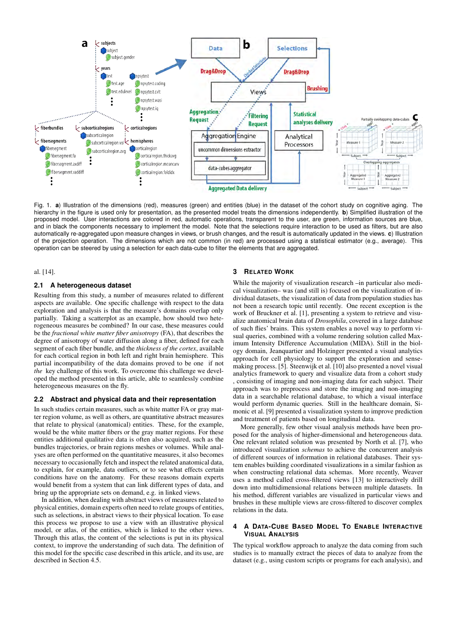

Fig. 1. **a**) Illustration of the dimensions (red), measures (green) and entities (blue) in the dataset of the cohort study on cognitive aging. The hierarchy in the figure is used only for presentation, as the presented model treats the dimensions independently. **b**) Simplified illustration of the proposed model. User interactions are colored in red, automatic operations, transparent to the user, are green, information sources are blue, and in black the components necessary to implement the model. Note that the selections require interaction to be used as filters, but are also automatically re-aggregated upon measure changes in views, or brush changes, and the result is automatically updated in the views. **c**) Illustration of the projection operation. The dimensions which are not common (in red) are processed using a statistical estimator (e.g., average). This operation can be steered by using a selection for each data-cube to filter the elements that are aggregated.

#### al. [14].

#### **2.1 A heterogeneous dataset**

Resulting from this study, a number of measures related to different aspects are available. One specific challenge with respect to the data exploration and analysis is that the measure's domains overlap only partially. Taking a scatterplot as an example, how should two heterogeneous measures be combined? In our case, these measures could be the *fractional white matter fiber anisotropy* (FA), that describes the degree of anisotropy of water diffusion along a fiber, defined for each segment of each fiber bundle, and the *thickness of the cortex*, available for each cortical region in both left and right brain hemisphere. This partial incompatibility of the data domains proved to be one if not *the* key challenge of this work. To overcome this challenge we developed the method presented in this article, able to seamlessly combine heterogeneous measures on the fly.

#### **2.2 Abstract and physical data and their representation**

In such studies certain measures, such as white matter FA or gray matter region volume, as well as others, are quantitative abstract measures that relate to physical (anatomical) entities. These, for the example, would be the white matter fibers or the gray matter regions. For these entities additional qualitative data is often also acquired, such as the bundles trajectories, or brain regions meshes or volumes. While analyses are often performed on the quantitative measures, it also becomes necessary to occasionally fetch and inspect the related anatomical data, to explain, for example, data outliers, or to see what effects certain conditions have on the anatomy. For these reasons domain experts would benefit from a system that can link different types of data, and bring up the appropriate sets on demand, e.g. in linked views.

In addition, when dealing with abstract views of measures related to physical entities, domain experts often need to relate groups of entities, such as selections, in abstract views to their physical location. To ease this process we propose to use a view with an illustrative physical model, or atlas, of the entities, which is linked to the other views. Through this atlas, the content of the selections is put in its physical context, to improve the understanding of such data. The definition of this model for the specific case described in this article, and its use, are described in Section 4.5.

#### **3 RELATED WORK**

While the majority of visualization research –in particular also medical visualization– was (and still is) focused on the visualization of individual datasets, the visualization of data from population studies has not been a research topic until recently. One recent exception is the work of Bruckner et al. [1], presenting a system to retrieve and visualize anatomical brain data of *Drosophila*, covered in a large database of such flies' brains. This system enables a novel way to perform visual queries, combined with a volume rendering solution called Maximum Intensity Difference Accumulation (MIDA). Still in the biology domain, Jeanquartier and Holzinger presented a visual analytics approach for cell physiology to support the exploration and sensemaking process. [5]. Steenwijk et al. [10] also presented a novel visual analytics framework to query and visualize data from a cohort study , consisting of imaging and non-imaging data for each subject. Their approach was to preprocess and store the imaging and non-imaging data in a searchable relational database, to which a visual interface would perform dynamic queries. Still in the healthcare domain, Simonic et al. [9] presented a visualization system to improve prediction and treatment of patients based on longitudinal data.

More generally, few other visual analysis methods have been proposed for the analysis of higher-dimensional and heterogeneous data. One relevant related solution was presented by North et al. [7], who introduced visualization *schemas* to achieve the concurrent analysis of different sources of information in relational databases. Their system enables building coordinated visualizations in a similar fashion as when constructing relational data schemas. More recently, Weaver uses a method called cross-filtered views [13] to interactively drill down into multidimensional relations between multiple datasets. In his method, different variables are visualized in particular views and brushes in these multiple views are cross-filtered to discover complex relations in the data.

#### **4 A DATA-CUBE BASED MODEL TO ENABLE INTERACTIVE VISUAL ANALYSIS**

The typical workflow approach to analyze the data coming from such studies is to manually extract the pieces of data to analyze from the dataset (e.g., using custom scripts or programs for each analysis), and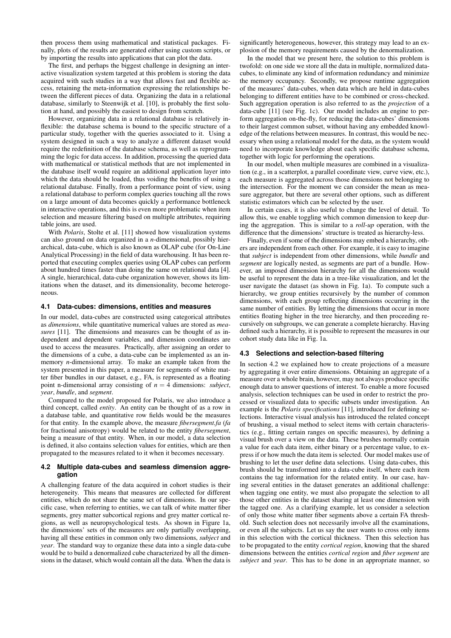then process them using mathematical and statistical packages. Finally, plots of the results are generated either using custom scripts, or by importing the results into applications that can plot the data.

The first, and perhaps the biggest challenge in designing an interactive visualization system targeted at this problem is storing the data acquired with such studies in a way that allows fast and flexible access, retaining the meta-information expressing the relationships between the different pieces of data. Organizing the data in a relational database, similarly to Steenwijk et al. [10], is probably the first solution at hand, and possibly the easiest to design from scratch.

However, organizing data in a relational database is relatively inflexible: the database schema is bound to the specific structure of a particular study, together with the queries associated to it. Using a system designed in such a way to analyze a different dataset would require the redefinition of the database schema, as well as reprogramming the logic for data access. In addition, processing the queried data with mathematical or statistical methods that are not implemented in the database itself would require an additional application layer into which the data should be loaded, thus voiding the benefits of using a relational database. Finally, from a performance point of view, using a relational database to perform complex queries touching all the rows on a large amount of data becomes quickly a performance bottleneck in interactive operations, and this is even more problematic when item selection and measure filtering based on multiple attributes, requiring table joins, are used.

With *Polaris*, Stolte et al. [11] showed how visualization systems can also ground on data organized in a *n*-dimensional, possibly hierarchical, data-cube, which is also known as OLAP cube (for On-Line Analytical Processing) in the field of data warehousing. It has been reported that executing complex queries using OLAP cubes can perform about hundred times faster than doing the same on relational data [4]. A single, hierarchical, data-cube organization however, shows its limitations when the dataset, and its dimensionality, become heterogeneous.

#### **4.1 Data-cubes: dimensions, entities and measures**

In our model, data-cubes are constructed using categorical attributes as *dimensions*, while quantitative numerical values are stored as *measures* [11]. The dimensions and measures can be thought of as independent and dependent variables, and dimension coordinates are used to access the measures. Practically, after assigning an order to the dimensions of a cube, a data-cube can be implemented as an inmemory *n*-dimensional array. To make an example taken from the system presented in this paper, a measure for segments of white matter fiber bundles in our dataset, e.g., FA, is represented as a floating point n-dimensional array consisting of  $n = 4$  dimensions: *subject*, *year*, *bundle*, and *segment*.

Compared to the model proposed for Polaris, we also introduce a third concept, called *entity*. An entity can be thought of as a row in a database table, and quantitative row fields would be the measures for that entity. In the example above, the measure *fibersegment.fa* (*fa* for fractional anisotropy) would be related to the entity *fibersegment*, being a measure of that entity. When, in our model, a data selection is defined, it also contains selection values for entities, which are then propagated to the measures related to it when it becomes necessary.

#### **4.2 Multiple data-cubes and seamless dimension aggregation**

A challenging feature of the data acquired in cohort studies is their heterogeneity. This means that measures are collected for different entities, which do not share the same set of dimensions. In our specific case, when referring to entities, we can talk of white matter fiber segments, grey matter subcortical regions and grey matter cortical regions, as well as neuropsychological tests. As shown in Figure 1a, the dimensions' sets of the measures are only partially overlapping, having all these entities in common only two dimensions, *subject* and *year*. The standard way to organize these data into a single data-cube would be to build a denormalized cube characterized by all the dimensions in the dataset, which would contain all the data. When the data is

significantly heterogeneous, however, this strategy may lead to an explosion of the memory requirements caused by the denormalization.

In the model that we present here, the solution to this problem is twofold: on one side we store all the data in multiple, normalized datacubes, to eliminate any kind of information redundancy and minimize the memory occupancy. Secondly, we propose runtime aggregation of the measures' data-cubes, when data which are held in data-cubes belonging to different entities have to be combined or cross-checked. Such aggregation operation is also referred to as the *projection* of a data-cube [11] (see Fig. 1c). Our model includes an engine to perform aggregation on-the-fly, for reducing the data-cubes' dimensions to their largest common subset, without having any embedded knowledge of the relations between measures. In contrast, this would be necessary when using a relational model for the data, as the system would need to incorporate knowledge about each specific database schema, together with logic for performing the operations.

In our model, when multiple measures are combined in a visualization (e.g., in a scatterplot, a parallel coordinate view, curve view, etc.), each measure is aggregated across those dimensions not belonging to the intersection. For the moment we can consider the mean as measure aggregator, but there are several other options, such as different statistic estimators which can be selected by the user.

In certain cases, it is also useful to change the level of detail. To allow this, we enable toggling which common dimension to keep during the aggregation. This is similar to a *roll-up* operation, with the difference that the dimensions' structure is treated as hierarchy-less.

Finally, even if some of the dimensions may embed a hierarchy, others are independent from each other. For example, it is easy to imagine that *subject* is independent from other dimensions, while *bundle* and *segment* are logically nested, as segments are part of a bundle. However, an imposed dimension hierarchy for all the dimensions would be useful to represent the data in a tree-like visualization, and let the user navigate the dataset (as shown in Fig. 1a). To compute such a hierarchy, we group entities recursively by the number of common dimensions, with each group reflecting dimensions occurring in the same number of entities. By letting the dimensions that occur in more entities floating higher in the tree hierarchy, and then proceeding recursively on subgroups, we can generate a complete hierarchy. Having defined such a hierarchy, it is possible to represent the measures in our cohort study data like in Fig. 1a.

#### **4.3 Selections and selection-based filtering**

In section 4.2 we explained how to create projections of a measure by aggregating it over entire dimensions. Obtaining an aggregate of a measure over a whole brain, however, may not always produce specific enough data to answer questions of interest. To enable a more focused analysis, selection techniques can be used in order to restrict the processed or visualized data to specific subsets under investigation. An example is the *Polaris specifications* [11], introduced for defining selections. Interactive visual analysis has introduced the related concept of brushing, a visual method to select items with certain characteristics (e.g., fitting certain ranges on specific measures), by defining a visual brush over a view on the data. These brushes normally contain a value for each data item, either binary or a percentage value, to express if or how much the data item is selected. Our model makes use of brushing to let the user define data selections. Using data-cubes, this brush should be transformed into a data-cube itself, where each item contains the tag information for the related entity. In our case, having several entities in the dataset generates an additional challenge: when tagging one entity, we must also propagate the selection to all those other entities in the dataset sharing at least one dimension with the tagged one. As a clarifying example, let us consider a selection of only those white matter fiber segments above a certain FA threshold. Such selection does not necessarily involve all the examinations, or even all the subjects. Let us say the user wants to cross only items in this selection with the cortical thickness. Then this selection has to be propagated to the entity *cortical region*, knowing that the shared dimensions between the entities *cortical region* and *fiber segment* are *subject* and *year*. This has to be done in an appropriate manner, so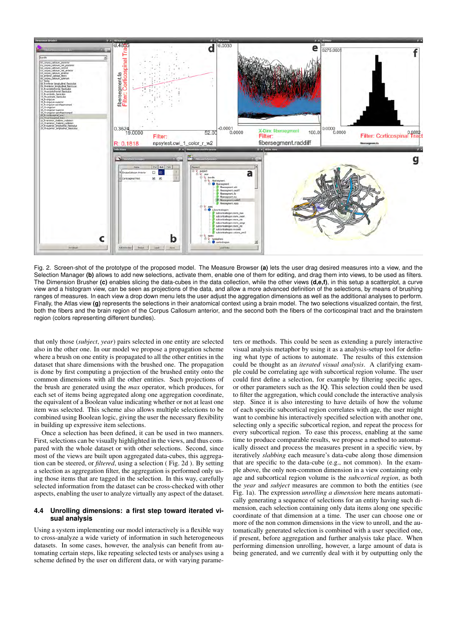

Fig. 2. Screen-shot of the prototype of the proposed model. The Measure Browser **(a)** lets the user drag desired measures into a view, and the Selection Manager **(b)** allows to add new selections, activate them, enable one of them for editing, and drag them into views, to be used as filters. The Dimension Brusher **(c)** enables slicing the data-cubes in the data collection, while the other views **(d,e,f)**, in this setup a scatterplot, a curve view and a histogram view, can be seen as projections of the data, and allow a more advanced definition of the selections, by means of brushing ranges of measures. In each view a drop down menu lets the user adjust the aggregation dimensions as well as the additional analyses to perform. Finally, the Atlas view (g) represents the selections in their anatomical context using a brain model. The two selections visualized contain, the first, both the fibers and the brain region of the Corpus Callosum anterior, and the second both the fibers of the corticospinal tract and the brainstem region (colors representing different bundles).

that only those (*subject*, *year*) pairs selected in one entity are selected also in the other one. In our model we propose a propagation scheme where a brush on one entity is propagated to all the other entities in the dataset that share dimensions with the brushed one. The propagation is done by first computing a projection of the brushed entity onto the common dimensions with all the other entities. Such projections of the brush are generated using the *max* operator, which produces, for each set of items being aggregated along one aggregation coordinate, the equivalent of a Boolean value indicating whether or not at least one item was selected. This scheme also allows multiple selections to be combined using Boolean logic, giving the user the necessary flexibility in building up expressive item selections.

Once a selection has been defined, it can be used in two manners. First, selections can be visually highlighted in the views, and thus compared with the whole dataset or with other selections. Second, since most of the views are built upon aggregated data-cubes, this aggregation can be steered, or *filtered*, using a selection ( Fig. 2d ). By setting a selection as aggregation filter, the aggregation is performed only using those items that are tagged in the selection. In this way, carefully selected information from the dataset can be cross-checked with other aspects, enabling the user to analyze virtually any aspect of the dataset.

#### **4.4 Unrolling dimensions: a first step toward iterated visual analysis**

Using a system implementing our model interactively is a flexible way to cross-analyze a wide variety of information in such heterogeneous datasets. In some cases, however, the analysis can benefit from automating certain steps, like repeating selected tests or analyses using a scheme defined by the user on different data, or with varying parame-

ters or methods. This could be seen as extending a purely interactive visual analysis metaphor by using it as a analysis-setup tool for defining what type of actions to automate. The results of this extension could be thought as an *iterated visual analysis*. A clarifying example could be correlating age with subcortical region volume. The user could first define a selection, for example by filtering specific ages, or other parameters such as the IQ. This selection could then be used to filter the aggregation, which could conclude the interactive analysis step. Since it is also interesting to have details of how the volume of each specific subcortical region correlates with age, the user might want to combine his interactively specified selection with another one, selecting only a specific subcortical region, and repeat the process for every subcortical region. To ease this process, enabling at the same time to produce comparable results, we propose a method to automatically dissect and process the measures present in a specific view, by iteratively *slabbing* each measure's data-cube along those dimension that are specific to the data-cube (e.g., not common). In the example above, the only non-common dimension in a view containing only age and subcortical region volume is the *subcortical region*, as both the *year* and *subject* measures are common to both the entities (see Fig. 1a). The expression *unrolling a dimension* here means automatically generating a sequence of selections for an entity having such dimension, each selection containing only data items along one specific coordinate of that dimension at a time. The user can choose one or more of the non common dimensions in the view to unroll, and the automatically generated selection is combined with a user specified one, if present, before aggregation and further analysis take place. When performing dimension unrolling, however, a large amount of data is being generated, and we currently deal with it by outputting only the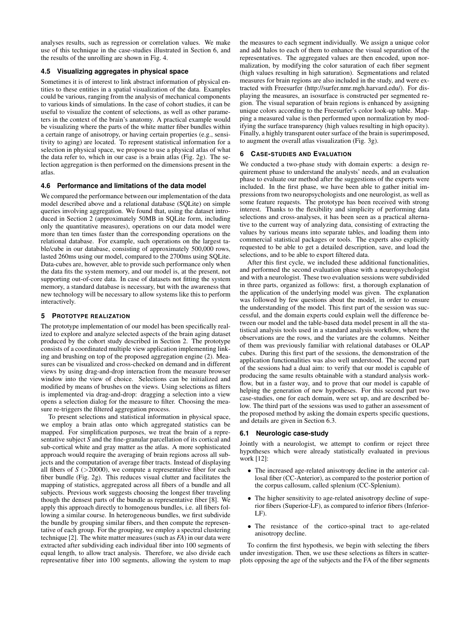analyses results, such as regression or correlation values. We make use of this technique in the case-studies illustrated in Section 6, and the results of the unrolling are shown in Fig. 4.

#### **4.5 Visualizing aggregates in physical space**

Sometimes it is of interest to link abstract information of physical entities to these entities in a spatial visualization of the data. Examples could be various, ranging from the analysis of mechanical components to various kinds of simulations. In the case of cohort studies, it can be useful to visualize the content of selections, as well as other parameters in the context of the brain's anatomy. A practical example would be visualizing where the parts of the white matter fiber bundles within a certain range of anisotropy, or having certain properties (e.g., sensitivity to aging) are located. To represent statistical information for a selection in physical space, we propose to use a physical atlas of what the data refer to, which in our case is a brain atlas (Fig. 2g). The selection aggregation is then performed on the dimensions present in the atlas.

#### **4.6 Performance and limitations of the data model**

We compared the performance between our implementation of the data model described above and a relational database (SQLite) on simple queries involving aggregation. We found that, using the dataset introduced in Section 2 (approximately 50MB in SQLite form, including only the quantitative measures), operations on our data model were more than ten times faster than the corresponding operations on the relational database. For example, such operations on the largest table/cube in our database, consisting of approximately 500,000 rows, lasted 260ms using our model, compared to the 2700ms using SQLite. Data-cubes are, however, able to provide such performance only when the data fits the system memory, and our model is, at the present, not supporting out-of-core data. In case of datasets not fitting the system memory, a standard database is necessary, but with the awareness that new technology will be necessary to allow systems like this to perform interactively.

#### **5 PROTOTYPE REALIZATION**

The prototype implementation of our model has been specifically realized to explore and analyze selected aspects of the brain aging dataset produced by the cohort study described in Section 2. The prototype consists of a coordinated multiple view application implementing linking and brushing on top of the proposed aggregation engine (2). Measures can be visualized and cross-checked on demand and in different views by using drag-and-drop interaction from the measure browser window into the view of choice. Selections can be initialized and modified by means of brushes on the views. Using selections as filters is implemented via drag-and-drop: dragging a selection into a view opens a selection dialog for the measure to filter. Choosing the measure re-triggers the filtered aggregation process.

To present selections and statistical information in physical space, we employ a brain atlas onto which aggregated statistics can be mapped. For simplification purposes, we treat the brain of a representative subject *S* and the fine-granular parcellation of its cortical and sub-cortical white and gray matter as the atlas. A more sophisticated approach would require the averaging of brain regions across all subjects and the computation of average fiber tracts. Instead of displaying all fibers of *S* (*>*20000), we compute a representative fiber for each fiber bundle (Fig. 2g). This reduces visual clutter and facilitates the mapping of statistics, aggregated across all fibers of a bundle and all subjects. Previous work suggests choosing the longest fiber traveling though the densest parts of the bundle as representative fiber [8]. We apply this approach directly to homogenous bundles, i.e. all fibers following a similar course. In heterogeneous bundles, we first subdivide the bundle by grouping similar fibers, and then compute the representative of each group. For the grouping, we employ a spectral clustering technique [2]. The white matter measures (such as *FA*) in our data were extracted after subdividing each individual fiber into 100 segments of equal length, to allow tract analysis. Therefore, we also divide each representative fiber into 100 segments, allowing the system to map

the measures to each segment individually. We assign a unique color and add halos to each of them to enhance the visual separation of the representatives. The aggregated values are then encoded, upon normalization, by modifying the color saturation of each fiber segment (high values resulting in high saturation). Segmentations and related measures for brain regions are also included in the study, and were extracted with Freesurfer (http://surfer.nmr.mgh.harvard.edu/). For displaying the measures, an isosurface is constructed per segmented region. The visual separation of brain regions is enhanced by assigning unique colors according to the Freesurfer's color look-up table. Mapping a measured value is then performed upon normalization by modifying the surface transparency (high values resulting in high opacity). Finally, a highly transparent outer surface of the brain is superimposed, to augment the overall atlas visualization (Fig. 3g).

#### **6 CASE-STUDIES AND EVALUATION**

We conducted a two-phase study with domain experts: a design requirement phase to understand the analysts' needs, and an evaluation phase to evaluate our method after the suggestions of the experts were included. In the first phase, we have been able to gather initial impressions from two neuropsychologists and one neurologist, as well as some feature requests. The prototype has been received with strong interest. Thanks to the flexibility and simplicity of performing data selections and cross-analyses, it has been seen as a practical alternative to the current way of analyzing data, consisting of extracting the values by various means into separate tables, and loading them into commercial statistical packages or tools. The experts also explicitly requested to be able to get a detailed description, save, and load the selections, and to be able to export filtered data.

After this first cycle, we included these additional functionalities, and performed the second evaluation phase with a neuropsychologist and with a neurologist. These two evaluation sessions were subdivided in three parts, organized as follows: first, a thorough explanation of the application of the underlying model was given. The explanation was followed by few questions about the model, in order to ensure the understanding of the model. This first part of the session was successful, and the domain experts could explain well the difference between our model and the table-based data model present in all the statistical analysis tools used in a standard analysis workflow, where the observations are the rows, and the variates are the columns. Neither of them was previously familiar with relational databases or OLAP cubes. During this first part of the sessions, the demonstration of the application functionalities was also well understood. The second part of the sessions had a dual aim: to verify that our model is capable of producing the same results obtainable with a standard analysis workflow, but in a faster way, and to prove that our model is capable of helping the generation of new hypotheses. For this second part two case-studies, one for each domain, were set up, and are described below. The third part of the sessions was used to gather an assessment of the proposed method by asking the domain experts specific questions, and details are given in Section 6.3.

#### **6.1 Neurologic case-study**

Jointly with a neurologist, we attempt to confirm or reject three hypotheses which were already statistically evaluated in previous work [12]:

- *•* The increased age-related anisotropy decline in the anterior callosal fiber (CC-Anterior), as compared to the posterior portion of the corpus callosum, called splenium (CC-Splenium).
- The higher sensitivity to age-related anisotropy decline of superior fibers (Superior-LF), as compared to inferior fibers (Inferior-LF).
- *•* The resistance of the cortico-spinal tract to age-related anisotropy decline.

To confirm the first hypothesis, we begin with selecting the fibers under investigation. Then, we use these selections as filters in scatterplots opposing the age of the subjects and the FA of the fiber segments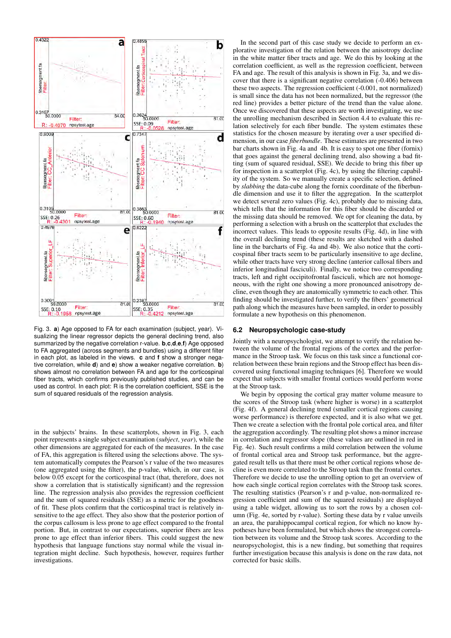

Fig. 3. **a**) Age opposed to FA for each examination (subject, year). Visualizing the linear regressor depicts the general declining trend, also summarized by the negative correlation r-value. **b**,**c**,**d**,**e**,**f**) Age opposed to FA aggregated (across segments and bundles) using a different filter in each plot, as labeled in the views. **c** and **f** show a stronger negative correlation, while **d**) and **e**) show a weaker negative correlation. **b**) shows almost no correlation between FA and age for the corticospinal fiber tracts, which confirms previously published studies, and can be used as control. In each plot: R is the correlation coefficient, SSE is the sum of squared residuals of the regression analysis.

in the subjects' brains. In these scatterplots, shown in Fig. 3, each point represents a single subject examination (*subject*, *year*), while the other dimensions are aggregated for each of the measures. In the case of FA, this aggregation is filtered using the selections above. The system automatically computes the Pearson's r value of the two measures (one aggregated using the filter), the p-value, which, in our case, is below 0.05 except for the corticospinal tract (that, therefore, does not show a correlation that is statistically significant) and the regression line. The regression analysis also provides the regression coefficient and the sum of squared residuals (SSE) as a metric for the goodness of fit. These plots confirm that the corticospinal tract is relatively insensitive to the age effect. They also show that the posterior portion of the corpus callosum is less prone to age effect compared to the frontal portion. But, in contrast to our expectations, superior fibers are less prone to age effect than inferior fibers. This could suggest the new hypothesis that language functions stay normal while the visual integration might decline. Such hypothesis, however, requires further investigations.

In the second part of this case study we decide to perform an explorative investigation of the relation between the anisotropy decline in the white matter fiber tracts and age. We do this by looking at the correlation coefficient, as well as the regression coefficient, between FA and age. The result of this analysis is shown in Fig. 3a, and we discover that there is a significant negative correlation (-0.406) between these two aspects. The regression coefficient (-0.001, not normalized) is small since the data has not been normalized, but the regressor (the red line) provides a better picture of the trend than the value alone. Once we discovered that these aspects are worth investigating, we use the unrolling mechanism described in Section 4.4 to evaluate this relation selectively for each fiber bundle. The system estimates these statistics for the chosen measure by iterating over a user specified dimension, in our case *fiberbundle*. These estimates are presented in two bar charts shown in Fig. 4a and 4b. It is easy to spot one fiber (fornix) that goes against the general declining trend, also showing a bad fitting (sum of squared residual, SSE). We decide to bring this fiber up for inspection in a scatterplot (Fig. 4c), by using the filtering capability of the system. So we manually create a specific selection, defined by *slabbing* the data-cube along the fornix coordinate of the fiberbundle dimension and use it to filter the aggregation. In the scatterplot we detect several zero values (Fig. 4c), probably due to missing data, which tells that the information for this fiber should be discarded or the missing data should be removed. We opt for cleaning the data, by performing a selection with a brush on the scatterplot that excludes the incorrect values. This leads to opposite results (Fig. 4d), in line with the overall declining trend (these results are sketched with a dashed line in the barcharts of Fig. 4a and 4b). We also notice that the corticospinal fiber tracts seem to be particularly insensitive to age decline, while other tracts have very strong decline (anterior callosal fibers and inferior longitudinal fasciculi). Finally, we notice two corresponding tracts, left and right occipitofrontal fasciculi, which are not homogeneous, with the right one showing a more pronounced anisotropy decline, even though they are anatomically symmetric to each other. This finding should be investigated further, to verify the fibers' geometrical path along which the measures have been sampled, in order to possibly formulate a new hypothesis on this phenomenon.

#### **6.2 Neuropsychologic case-study**

Jointly with a neuropsychologist, we attempt to verify the relation between the volume of the frontal regions of the cortex and the performance in the Stroop task. We focus on this task since a functional correlation between these brain regions and the Stroop effect has been discovered using functional imaging techniques [6]. Therefore we would expect that subjects with smaller frontal cortices would perform worse at the Stroop task.

We begin by opposing the cortical gray matter volume measure to the scores of the Stroop task (where higher is worse) in a scatterplot (Fig. 4f). A general declining trend (smaller cortical regions causing worse performance) is therefore expected, and it is also what we get. Then we create a selection with the frontal pole cortical area, and filter the aggregation accordingly. The resulting plot shows a minor increase in correlation and regressor slope (these values are outlined in red in Fig. 4e). Such result confirms a mild correlation between the volume of frontal cortical area and Stroop task performance, but the aggregated result tells us that there must be other cortical regions whose decline is even more correlated to the Stroop task than the frontal cortex. Therefore we decide to use the unrolling option to get an overview of how each single cortical region correlates with the Stroop task scores. The resulting statistics (Pearson's r and p-value, non-normalized regression coefficient and sum of the squared residuals) are displayed using a table widget, allowing us to sort the rows by a chosen column (Fig. 4e, sorted by r-value). Sorting these data by r value unveils an area, the parahippocampal cortical region, for which no know hypotheses have been formulated, but which shows the strongest correlation between its volume and the Stroop task scores. According to the neuropsychologist, this is a new finding, but something that requires further investigation because this analysis is done on the raw data, not corrected for basic skills.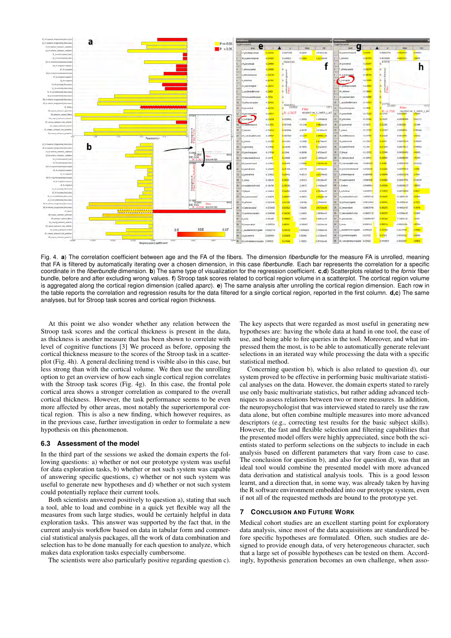

Fig. 4. **a**) The correlation coefficient between age and the FA of the fibers. The dimension *fiberbundle* for the measure FA is unrolled, meaning that FA is filtered by automatically iterating over a chosen dimension, in this case *fiberbundle*. Each bar represents the correlation for a specific coordinate in the *fiberbundle* dimension. **b**) The same type of visualization for the regression coefficient. **c**,**d**) Scatterplots related to the *fornix* fiber bundle, before and after excluding wrong values. **f**) Stroop task scores related to cortical region volume in a scatterplot. The cortical region volume is aggregated along the cortical region dimension (called *aparc*). **e**) The same analysis after unrolling the cortical region dimension. Each row in the table reports the correlation and regression results for the data filtered for a single cortical region, reported in the first column. **d,c**) The same analyses, but for Stroop task scores and cortical region thickness.

At this point we also wonder whether any relation between the Stroop task scores and the cortical thickness is present in the data, as thickness is another measure that has been shown to correlate with level of cognitive functions [3] We proceed as before, opposing the cortical thickness measure to the scores of the Stroop task in a scatterplot (Fig. 4h). A general declining trend is visible also in this case, but less strong than with the cortical volume. We then use the unrolling option to get an overview of how each single cortical region correlates with the Stroop task scores (Fig. 4g). In this case, the frontal pole cortical area shows a stronger correlation as compared to the overall cortical thickness. However, the task performance seems to be even more affected by other areas, most notably the superiortemporal cortical region. This is also a new finding, which however requires, as in the previous case, further investigation in order to formulate a new hypothesis on this phenomenon.

#### **6.3 Assessment of the model**

In the third part of the sessions we asked the domain experts the following questions: a) whether or not our prototype system was useful for data exploration tasks, b) whether or not such system was capable of answering specific questions, c) whether or not such system was useful to generate new hypotheses and d) whether or not such system could potentially replace their current tools.

Both scientists answered positively to question a), stating that such a tool, able to load and combine in a quick yet flexible way all the measures from such large studies, would be certainly helpful in data exploration tasks. This answer was supported by the fact that, in the current analysis workflow based on data in tabular form and commercial statistical analysis packages, all the work of data combination and selection has to be done manually for each question to analyze, which makes data exploration tasks especially cumbersome.

The scientists were also particularly positive regarding question c).

The key aspects that were regarded as most useful in generating new hypotheses are: having the whole data at hand in one tool, the ease of use, and being able to fire queries in the tool. Moreover, and what impressed them the most, is to be able to automatically generate relevant selections in an iterated way while processing the data with a specific statistical method.

Concerning question b), which is also related to question d), our system proved to be effective in performing basic multivariate statistical analyses on the data. However, the domain experts stated to rarely use only basic multivariate statistics, but rather adding advanced techniques to assess relations between two or more measures. In addition, the neuropsychologist that was interviewed stated to rarely use the raw data alone, but often combine multiple measures into more advanced descriptors (e.g., correcting test results for the basic subject skills). However, the fast and flexible selection and filtering capabilities that the presented model offers were highly appreciated, since both the scientists stated to perform selections on the subjects to include in each analysis based on different parameters that vary from case to case. The conclusion for question b), and also for question d), was that an ideal tool would combine the presented model with more advanced data derivation and statistical analysis tools. This is a good lesson learnt, and a direction that, in some way, was already taken by having the R software environment embedded into our prototype system, even if not all of the requested methods are bound to the prototype yet.

#### **7 CONCLUSION AND FUTURE WORK**

Medical cohort studies are an excellent starting point for exploratory data analysis, since most of the data acquisitions are standardized before specific hypotheses are formulated. Often, such studies are designed to provide enough data, of very heterogeneous character, such that a large set of possible hypotheses can be tested on them. Accordingly, hypothesis generation becomes an own challenge, when asso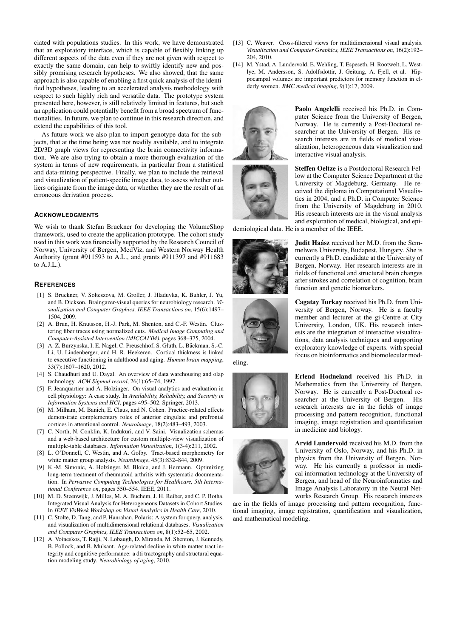ciated with populations studies. In this work, we have demonstrated that an exploratory interface, which is capable of flexibly linking up different aspects of the data even if they are not given with respect to exactly the same domain, can help to swiftly identify new and possibly promising research hypotheses. We also showed, that the same approach is also capable of enabling a first quick analysis of the identified hypotheses, leading to an accelerated analysis methodology with respect to such highly rich and versatile data. The prototype system presented here, however, is still relatively limited in features, but such an application could potentially benefit from a broad spectrum of functionalities. In future, we plan to continue in this research direction, and extend the capabilities of this tool.

As future work we also plan to import genotype data for the subjects, that at the time being was not readily available, and to integrate 2D/3D graph views for representing the brain connectivity information. We are also trying to obtain a more thorough evaluation of the system in terms of new requirements, in particular from a statistical and data-mining perspective. Finally, we plan to include the retrieval and visualization of patient-specific image data, to assess whether outliers originate from the image data, or whether they are the result of an erroneous derivation process.

#### **ACKNOWLEDGMENTS**

We wish to thank Stefan Bruckner for developing the VolumeShop framework, used to create the application prototype. The cohort study used in this work was financially supported by the Research Council of Norway, University of Bergen, MedViz, and Western Norway Health Authority (grant #911593 to A.L., and grants #911397 and #911683 to  $A.J.L.$ ).

#### **REFERENCES**

- [1] S. Bruckner, V. Solteszova, M. Groller, J. Hladuvka, K. Buhler, J. Yu, and B. Dickson. Braingazer-visual queries for neurobiology research. *Visualization and Computer Graphics, IEEE Transactions on*, 15(6):1497– 1504, 2009.
- [2] A. Brun, H. Knutsson, H.-J. Park, M. Shenton, and C.-F. Westin. Clustering fiber traces using normalized cuts. *Medical Image Computing and Computer-Assisted Intervention (MICCAI'04)*, pages 368–375, 2004.
- [3] A. Z. Burzynska, I. E. Nagel, C. Preuschhof, S. Gluth, L. Bäckman, S.-C. Li, U. Lindenberger, and H. R. Heekeren. Cortical thickness is linked to executive functioning in adulthood and aging. *Human brain mapping*, 33(7):1607–1620, 2012.
- [4] S. Chaudhuri and U. Dayal. An overview of data warehousing and olap technology. *ACM Sigmod record*, 26(1):65–74, 1997.
- [5] F. Jeanquartier and A. Holzinger. On visual analytics and evaluation in cell physiology: A case study. In *Availability, Reliability, and Security in Information Systems and HCI*, pages 495–502. Springer, 2013.
- [6] M. Milham, M. Banich, E. Claus, and N. Cohen. Practice-related effects demonstrate complementary roles of anterior cingulate and prefrontal cortices in attentional control. *Neuroimage*, 18(2):483–493, 2003.
- [7] C. North, N. Conklin, K. Indukuri, and V. Saini. Visualization schemas and a web-based architecture for custom multiple-view visualization of multiple-table databases. *Information Visualization*, 1(3-4):211, 2002.
- [8] L. O'Donnell, C. Westin, and A. Golby. Tract-based morphometry for white matter group analysis. *NeuroImage*, 45(3):832–844, 2009.
- [9] K.-M. Simonic, A. Holzinger, M. Bloice, and J. Hermann. Optimizing long-term treatment of rheumatoid arthritis with systematic documentation. In *Pervasive Computing Technologies for Healthcare, 5th International Conference on*, pages 550–554. IEEE, 2011.
- [10] M. D. Steenwijk, J. Milles, M. A. Buchem, J. H. Reiber, and C. P. Botha. Integrated Visual Analysis for Heterogeneous Datasets in Cohort Studies. In *IEEE VisWeek Workshop on Visual Analytics in Health Care*, 2010.
- [11] C. Stolte, D. Tang, and P. Hanrahan. Polaris: A system for query, analysis, and visualization of multidimensional relational databases. *Visualization and Computer Graphics, IEEE Transactions on*, 8(1):52–65, 2002.
- [12] A. Voineskos, T. Rajji, N. Lobaugh, D. Miranda, M. Shenton, J. Kennedy, B. Pollock, and B. Mulsant. Age-related decline in white matter tract integrity and cognitive performance: a dti tractography and structural equation modeling study. *Neurobiology of aging*, 2010.
- [13] C. Weaver. Cross-filtered views for multidimensional visual analysis. *Visualization and Computer Graphics, IEEE Transactions on*, 16(2):192– 204, 2010.
- [14] M. Ystad, A. Lundervold, E. Wehling, T. Espeseth, H. Rootwelt, L. Westlye, M. Andersson, S. Adolfsdottir, J. Geitung, A. Fjell, et al. Hippocampal volumes are important predictors for memory function in elderly women. *BMC medical imaging*, 9(1):17, 2009.



Paolo Angelelli received his Ph.D. in Computer Science from the University of Bergen, Norway. He is currently a Post-Doctoral researcher at the University of Bergen. His research interests are in fields of medical visualization, heterogeneous data visualization and interactive visual analysis.

Steffen Oeltze is a Postdoctoral Research Fellow at the Computer Science Department at the University of Magdeburg, Germany. He received the diploma in Computational Visualistics in 2004, and a Ph.D. in Computer Science from the University of Magdeburg in 2010. His research interests are in the visual analysis and exploration of medical, biological, and epi-

demiological data. He is a member of the IEEE.





melweis University, Budapest, Hungary. She is currently a Ph.D. candidate at the University of Bergen, Norway. Her research interests are in fields of functional and structural brain changes after strokes and correlation of cognition, brain function and genetic biomarkers.

Judit Haász received her M.D. from the Sem-

Cagatay Turkay received his Ph.D. from University of Bergen, Norway. He is a faculty member and lecturer at the gi-Centre at City University, London, UK. His research interests are the integration of interactive visualizations, data analysis techniques and supporting exploratory knowledge of experts. with special focus on bioinformatics and biomolecular mod-

eling.





Arvid Lundervold received his M.D. from the University of Oslo, Norway, and his Ph.D. in physics from the University of Bergen, Norway. He his currently a professor in medical information technology at the University of Bergen, and head of the Neuroinformatics and Image Analysis Laboratory in the Neural Networks Research Group. His research interests

are in the fields of image processing and pattern recognition, functional imaging, image registration, quantification and visualization, and mathematical modeling.